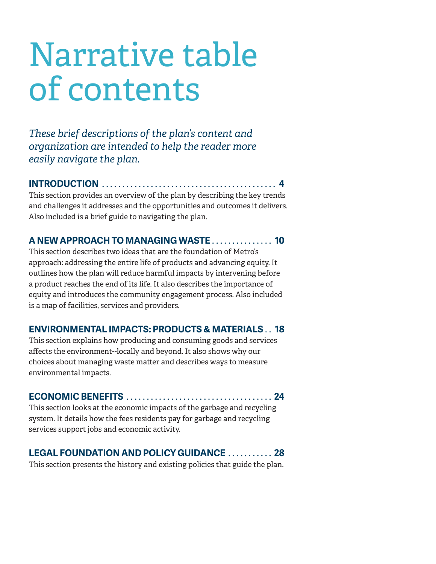# Narrative table of contents

*These brief descriptions of the plan's content and organization are intended to help the reader more easily navigate the plan.*

**INTRODUCTION 4**

This section provides an overview of the plan by describing the key trends and challenges it addresses and the opportunities and outcomes it delivers. Also included is a brief guide to navigating the plan.

## **A NEW APPROACH TO MANAGING WASTE 10**

This section describes two ideas that are the foundation of Metro's approach: addressing the entire life of products and advancing equity. It outlines how the plan will reduce harmful impacts by intervening before a product reaches the end of its life. It also describes the importance of equity and introduces the community engagement process. Also included is a map of facilities, services and providers.

## **ENVIRONMENTAL IMPACTS: PRODUCTS & MATERIALS 18**

This section explains how producing and consuming goods and services affects the environment--locally and beyond. It also shows why our choices about managing waste matter and describes ways to measure environmental impacts.

### **ECONOMIC BENEFITS 24**

This section looks at the economic impacts of the garbage and recycling system. It details how the fees residents pay for garbage and recycling services support jobs and economic activity.

# **LEGAL FOUNDATION AND POLICY GUIDANCE . . . . . . . . . . 28**

This section presents the history and existing policies that guide the plan.